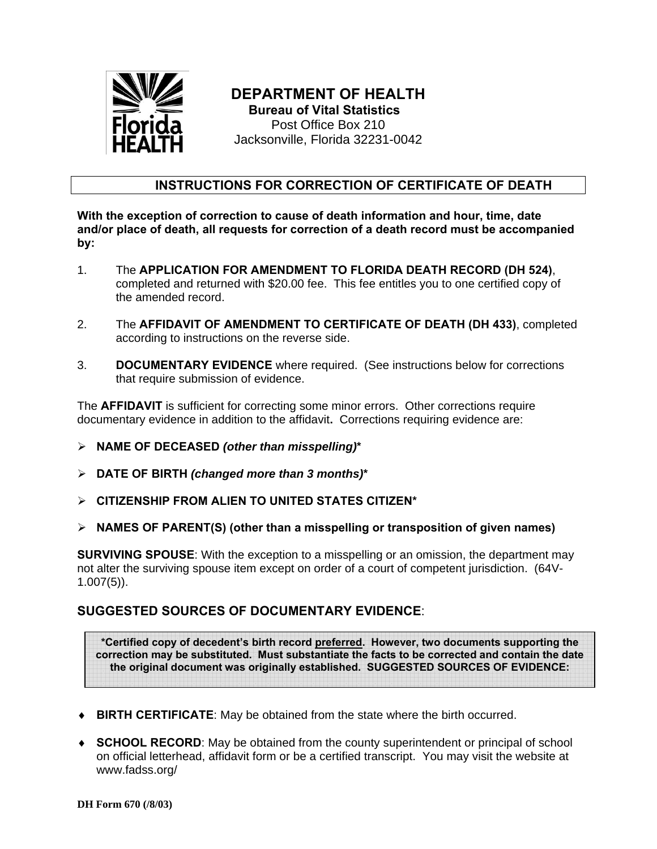

## **DEPARTMENT OF HEALTH Bureau of Vital Statistics**

Post Office Box 210 Jacksonville, Florida 32231-0042

## **INSTRUCTIONS FOR CORRECTION OF CERTIFICATE OF DEATH**

**With the exception of correction to cause of death information and hour, time, date and/or place of death, all requests for correction of a death record must be accompanied by:** 

- 1. The **APPLICATION FOR AMENDMENT TO FLORIDA DEATH RECORD (DH 524)**, completed and returned with \$20.00 fee. This fee entitles you to one certified copy of the amended record.
- 2. The **AFFIDAVIT OF AMENDMENT TO CERTIFICATE OF DEATH (DH 433)**, completed according to instructions on the reverse side.
- 3. **DOCUMENTARY EVIDENCE** where required. (See instructions below for corrections that require submission of evidence.

The **AFFIDAVIT** is sufficient for correcting some minor errors. Other corrections require documentary evidence in addition to the affidavit**.** Corrections requiring evidence are:

- ¾ **NAME OF DECEASED** *(other than misspelling)***\***
- ¾ **DATE OF BIRTH** *(changed more than 3 months)***\***
- ¾ **CITIZENSHIP FROM ALIEN TO UNITED STATES CITIZEN\***
- ¾ **NAMES OF PARENT(S) (other than a misspelling or transposition of given names)**

**SURVIVING SPOUSE**: With the exception to a misspelling or an omission, the department may not alter the surviving spouse item except on order of a court of competent jurisdiction. (64V-1.007(5)).

## **SUGGESTED SOURCES OF DOCUMENTARY EVIDENCE**:

**\*Certified copy of decedent's birth record preferred. However, two documents supporting the correction may be substituted. Must substantiate the facts to be corrected and contain the date the original document was originally established. SUGGESTED SOURCES OF EVIDENCE:**

- ♦ **BIRTH CERTIFICATE**: May be obtained from the state where the birth occurred.
- ♦ **SCHOOL RECORD**: May be obtained from the county superintendent or principal of school on official letterhead, affidavit form or be a certified transcript. You may visit the website at www.fadss.org/